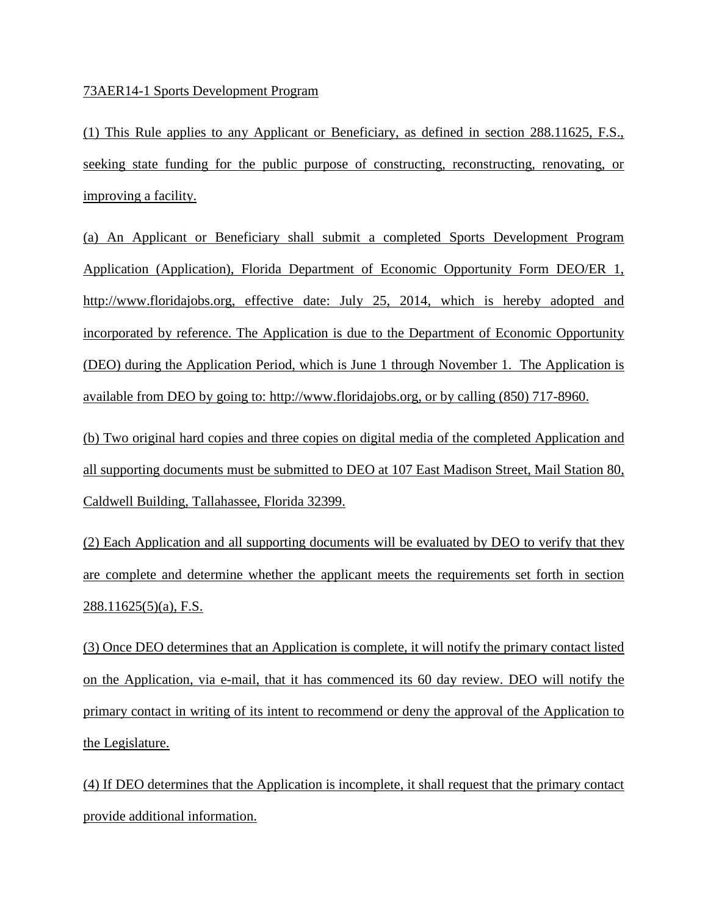## 73AER14-1 Sports Development Program

(1) This Rule applies to any Applicant or Beneficiary, as defined in section 288.11625, F.S., seeking state funding for the public purpose of constructing, reconstructing, renovating, or improving a facility.

(a) An Applicant or Beneficiary shall submit a completed Sports Development Program Application (Application), Florida Department of Economic Opportunity Form DEO/ER 1, http://www.floridajobs.org, effective date: July 25, 2014, which is hereby adopted and incorporated by reference. The Application is due to the Department of Economic Opportunity (DEO) during the Application Period, which is June 1 through November 1. The Application is available from DEO by going to: http://www.floridajobs.org, or by calling (850) 717-8960.

(b) Two original hard copies and three copies on digital media of the completed Application and all supporting documents must be submitted to DEO at 107 East Madison Street, Mail Station 80, Caldwell Building, Tallahassee, Florida 32399.

(2) Each Application and all supporting documents will be evaluated by DEO to verify that they are complete and determine whether the applicant meets the requirements set forth in section 288.11625(5)(a), F.S.

(3) Once DEO determines that an Application is complete, it will notify the primary contact listed on the Application, via e-mail, that it has commenced its 60 day review. DEO will notify the primary contact in writing of its intent to recommend or deny the approval of the Application to the Legislature.

(4) If DEO determines that the Application is incomplete, it shall request that the primary contact provide additional information.